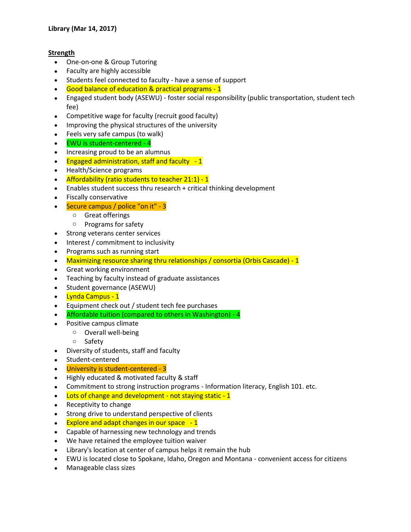## **Strength**

- One-on-one & Group Tutoring
- Faculty are highly accessible
- Students feel connected to faculty have a sense of support
- Good balance of education & practical programs 1
- Engaged student body (ASEWU) foster social responsibility (public transportation, student tech fee)
- Competitive wage for faculty (recruit good faculty)
- Improving the physical structures of the university
- Feels very safe campus (to walk)
- EWU is student-centered 4
- Increasing proud to be an alumnus
- Engaged administration, staff and faculty 1
- Health/Science programs
- Affordability (ratio students to teacher 21:1) 1
- Enables student success thru research + critical thinking development
- Fiscally conservative
- Secure campus / police "on it" 3
	- o Great offerings
	- o Programs for safety
- Strong veterans center services
- Interest / commitment to inclusivity
- Programs such as running start
- Maximizing resource sharing thru relationships / consortia (Orbis Cascade) 1
- Great working environment
- Teaching by faculty instead of graduate assistances
- Student governance (ASEWU)
- Lynda Campus 1
- Equipment check out / student tech fee purchases
- Affordable tuition (compared to others in Washington) 4
- Positive campus climate
	- o Overall well-being
		- o Safety
- Diversity of students, staff and faculty
- Student-centered
- University is student-centered 3
- Highly educated & motivated faculty & staff
- Commitment to strong instruction programs Information literacy, English 101. etc.
- Lots of change and development not staying static 1
- Receptivity to change
- Strong drive to understand perspective of clients
- $\bullet$  Explore and adapt changes in our space  $-1$
- Capable of harnessing new technology and trends
- We have retained the employee tuition waiver
- Library's location at center of campus helps it remain the hub
- EWU is located close to Spokane, Idaho, Oregon and Montana convenient access for citizens
- Manageable class sizes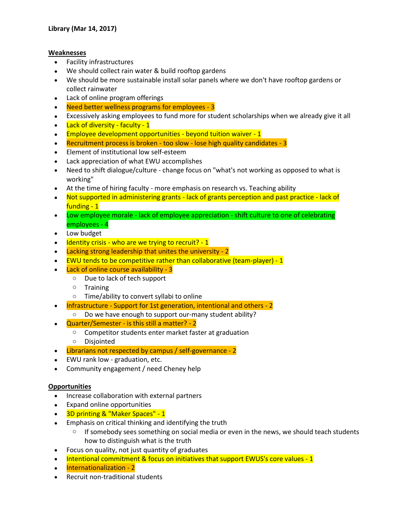## **Weaknesses**

- Facility infrastructures
- We should collect rain water & build rooftop gardens
- We should be more sustainable install solar panels where we don't have rooftop gardens or collect rainwater
- Lack of online program offerings
- Need better wellness programs for employees 3
- Excessively asking employees to fund more for student scholarships when we already give it all
- Lack of diversity faculty 1
- $\cdot$  Employee development opportunities beyond tuition waiver 1
- Recruitment process is broken too slow lose high quality candidates 3
- Element of institutional low self-esteem
- Lack appreciation of what EWU accomplishes
- Need to shift dialogue/culture change focus on "what's not working as opposed to what is working"
- At the time of hiring faculty more emphasis on research vs. Teaching ability
- Not supported in administering grants lack of grants perception and past practice lack of funding - 1
- Low employee morale lack of employee appreciation shift culture to one of celebrating employees - 4
- Low budget
- Identity crisis who are we trying to recruit? 1
- Lacking strong leadership that unites the university 2
- EWU tends to be competitive rather than collaborative (team-player) 1
- Lack of online course availability 3
	- o Due to lack of tech support
	- o Training
	- o Time/ability to convert syllabi to online
- Infrastructure Support for 1st generation, intentional and others 2
	- o Do we have enough to support our-many student ability?
- Quarter/Semester is this still a matter? 2
	- o Competitor students enter market faster at graduation
	- o Disjointed
- Librarians not respected by campus / self-governance 2
- EWU rank low graduation, etc.
- Community engagement / need Cheney help

## **Opportunities**

- Increase collaboration with external partners
- Expand online opportunities
- 3D printing & "Maker Spaces" 1
- Emphasis on critical thinking and identifying the truth
	- o If somebody sees something on social media or even in the news, we should teach students how to distinguish what is the truth
- Focus on quality, not just quantity of graduates
- Intentional commitment & focus on initiatives that support EWUS's core values 1
- Internationalization 2
- Recruit non-traditional students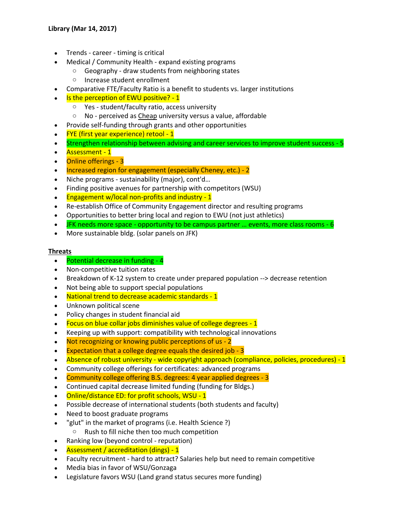- Trends career timing is critical
- Medical / Community Health expand existing programs
	- o Geography draw students from neighboring states
	- o Increase student enrollment
- Comparative FTE/Faculty Ratio is a benefit to students vs. larger institutions
- Is the perception of EWU positive? 1
	- o Yes student/faculty ratio, access university
	- o No perceived as Cheap university versus a value, affordable
- Provide self-funding through grants and other opportunities
- FYE (first year experience) retool 1
- Strengthen relationship between advising and career services to improve student success 5
- Assessment 1
- **Online offerings 3**
- Increased region for engagement (especially Cheney, etc.) 2
- Niche programs sustainability (major), cont'd…
- Finding positive avenues for partnership with competitors (WSU)
- $\cdot$  Engagement w/local non-profits and industry 1
- Re-establish Office of Community Engagement director and resulting programs
- Opportunities to better bring local and region to EWU (not just athletics)
- JFK needs more space opportunity to be campus partner … events, more class rooms 6
- More sustainable bldg. (solar panels on JFK)

## **Threats**

- Potential decrease in funding 4
- Non-competitive tuition rates
- Breakdown of K-12 system to create under prepared population --> decrease retention
- Not being able to support special populations
- National trend to decrease academic standards 1
- Unknown political scene
- Policy changes in student financial aid
- Focus on blue collar jobs diminishes value of college degrees 1
- Keeping up with support: compatibility with technological innovations
- Not recognizing or knowing public perceptions of us 2
- Expectation that a college degree equals the desired job 3
- Absence of robust university wide copyright approach (compliance, policies, procedures) 1
- Community college offerings for certificates: advanced programs
- Community college offering B.S. degrees: 4 year applied degrees 3
- Continued capital decrease limited funding (funding for Bldgs.)
- Online/distance ED: for profit schools, WSU 1
- Possible decrease of international students (both students and faculty)
- Need to boost graduate programs
- "glut" in the market of programs (i.e. Health Science ?)
- o Rush to fill niche then too much competition
- Ranking low (beyond control reputation)
- Assessment / accreditation (dings) 1
- Faculty recruitment hard to attract? Salaries help but need to remain competitive
- Media bias in favor of WSU/Gonzaga
- Legislature favors WSU (Land grand status secures more funding)